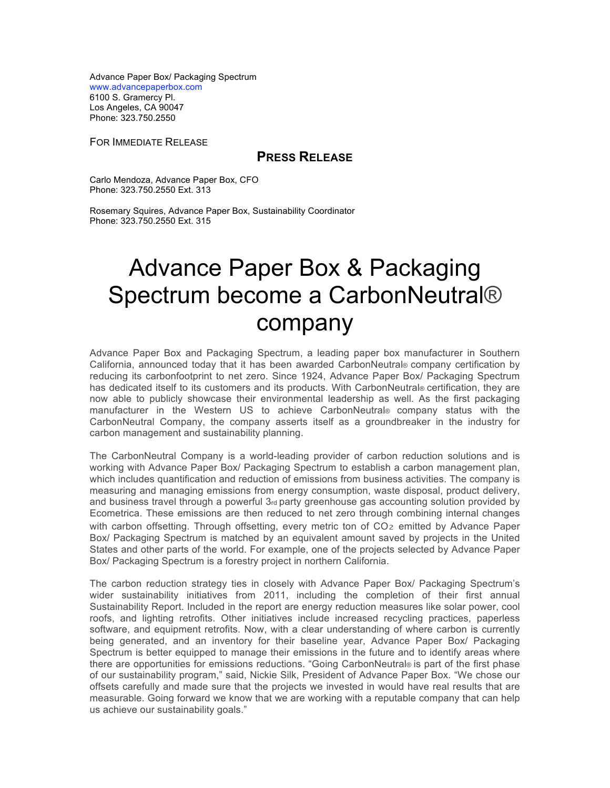Advance Paper Box/ Packaging Spectrum www.advancepaperbox.com 6100 S. Gramercy Pl. Los Angeles, CA 90047 Phone: 323.750.2550

FOR IMMEDIATE RELEASE

## **PRESS RELEASE**

Carlo Mendoza, Advance Paper Box, CFO Phone: 323.750.2550 Ext. 313

Rosemary Squires, Advance Paper Box, Sustainability Coordinator Phone: 323.750.2550 Ext. 315

## Advance Paper Box & Packaging Spectrum become a CarbonNeutral® company

Advance Paper Box and Packaging Spectrum, a leading paper box manufacturer in Southern California, announced today that it has been awarded CarbonNeutral® company certification by reducing its carbonfootprint to net zero. Since 1924, Advance Paper Box/ Packaging Spectrum has dedicated itself to its customers and its products. With CarbonNeutral® certification, they are now able to publicly showcase their environmental leadership as well. As the first packaging manufacturer in the Western US to achieve CarbonNeutral® company status with the CarbonNeutral Company, the company asserts itself as a groundbreaker in the industry for carbon management and sustainability planning.

The CarbonNeutral Company is a world-leading provider of carbon reduction solutions and is working with Advance Paper Box/ Packaging Spectrum to establish a carbon management plan, which includes quantification and reduction of emissions from business activities. The company is measuring and managing emissions from energy consumption, waste disposal, product delivery, and business travel through a powerful  $3<sub>rd</sub>$  party greenhouse gas accounting solution provided by Ecometrica. These emissions are then reduced to net zero through combining internal changes with carbon offsetting. Through offsetting, every metric ton of CO<sub>2</sub> emitted by Advance Paper Box/ Packaging Spectrum is matched by an equivalent amount saved by projects in the United States and other parts of the world. For example, one of the projects selected by Advance Paper Box/ Packaging Spectrum is a forestry project in northern California.

The carbon reduction strategy ties in closely with Advance Paper Box/ Packaging Spectrum's wider sustainability initiatives from 2011, including the completion of their first annual Sustainability Report. Included in the report are energy reduction measures like solar power, cool roofs, and lighting retrofits. Other initiatives include increased recycling practices, paperless software, and equipment retrofits. Now, with a clear understanding of where carbon is currently being generated, and an inventory for their baseline year, Advance Paper Box/ Packaging Spectrum is better equipped to manage their emissions in the future and to identify areas where there are opportunities for emissions reductions. "Going CarbonNeutral® is part of the first phase of our sustainability program," said, Nickie Silk, President of Advance Paper Box. "We chose our offsets carefully and made sure that the projects we invested in would have real results that are measurable. Going forward we know that we are working with a reputable company that can help us achieve our sustainability goals."